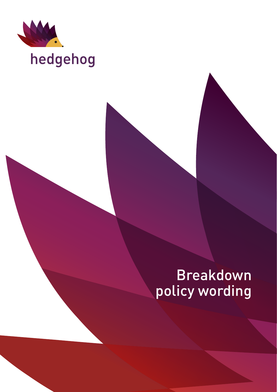

# hedgehog

## Breakdown policy wording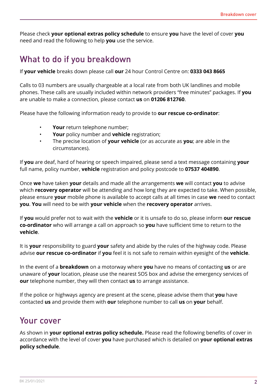Please check **your optional extras policy schedule** to ensure **you** have the level of cover **you** need and read the following to help **you** use the service.

### What to do if you breakdown

If **your vehicle** breaks down please call **our** 24 hour Control Centre on: **0333 043 8665**

Calls to 03 numbers are usually chargeable at a local rate from both UK landlines and mobile phones. These calls are usually included within network providers "free minutes" packages. If **you** are unable to make a connection, please contact **us** on **01206 812760**.

Please have the following information ready to provide to **our rescue co-ordinator**:

- Your return telephone number;
- **Your** policy number and **vehicle** registration;
- The precise location of **your vehicle** (or as accurate as **you**; are able in the circumstances).

If **you** are deaf, hard of hearing or speech impaired, please send a text message containing **your** full name, policy number, **vehicle** registration and policy postcode to **07537 404890**.

Once **we** have taken **your** details and made all the arrangements **we** will contact **you** to advise which **recovery operator** will be attending and how long they are expected to take. When possible, please ensure **your** mobile phone is available to accept calls at all times in case **we** need to contact **you**. **You** will need to be with **your vehicle** when the **recovery operator** arrives.

If **you** would prefer not to wait with the **vehicle** or it is unsafe to do so, please inform **our rescue co-ordinator** who will arrange a call on approach so **you** have sufficient time to return to the **vehicle**.

It is **your** responsibility to guard **your** safety and abide by the rules of the highway code. Please advise **our rescue co-ordinator** if **you** feel it is not safe to remain within eyesight of the **vehicle**.

In the event of a **breakdown** on a motorway where **you** have no means of contacting **us** or are unaware of **your** location, please use the nearest SOS box and advise the emergency services of **our** telephone number, they will then contact **us** to arrange assistance.

If the police or highways agency are present at the scene, please advise them that **you** have contacted **us** and provide them with **our** telephone number to call **us** on **your** behalf.

### Your cover

As shown in **your optional extras policy schedule.** Please read the following benefits of cover in accordance with the level of cover **you** have purchased which is detailed on **your optional extras policy schedule**.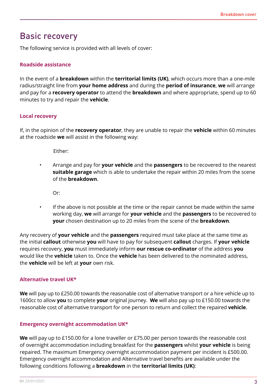### Basic recovery

The following service is provided with all levels of cover:

#### **Roadside assistance**

In the event of a **breakdown** within the **territorial limits (UK)**, which occurs more than a one-mile radius/straight line from **your home address** and during the **period of insurance**, **we** will arrange and pay for a **recovery operator** to attend the **breakdown** and where appropriate, spend up to 60 minutes to try and repair the **vehicle**.

#### **Local recovery**

If, in the opinion of the **recovery operator**, they are unable to repair the **vehicle** within 60 minutes at the roadside **we** will assist in the following way:

Either:

• Arrange and pay for **your vehicle** and the **passengers** to be recovered to the nearest **suitable garage** which is able to undertake the repair within 20 miles from the scene of the **breakdown**.

Or:

If the above is not possible at the time or the repair cannot be made within the same working day, **we** will arrange for **your vehicle** and the **passengers** to be recovered to **your** chosen destination up to 20 miles from the scene of the **breakdown**.

Any recovery of **your vehicle** and the **passengers** required must take place at the same time as the initial **callout** otherwise **you** will have to pay for subsequent **callout** charges. If **your vehicle** requires recovery, **you** must immediately inform **our rescue co-ordinator** of the address **you** would like the **vehicle** taken to. Once the **vehicle** has been delivered to the nominated address, the **vehicle** will be left at **your** own risk.

#### **Alternative travel UK\***

**We** will pay up to £250.00 towards the reasonable cost of alternative transport or a hire vehicle up to 1600cc to allow **you** to complete **your** original journey. **We** will also pay up to £150.00 towards the reasonable cost of alternative transport for one person to return and collect the repaired **vehicle**.

#### **Emergency overnight accommodation UK\***

**We** will pay up to £150.00 for a lone traveller or £75.00 per person towards the reasonable cost of overnight accommodation including breakfast for the **passengers** whilst **your vehicle** is being repaired. The maximum Emergency overnight accommodation payment per incident is £500.00. Emergency overnight accommodation and Alternative travel benefits are available under the following conditions following a **breakdown** in the **territorial limits (UK)**: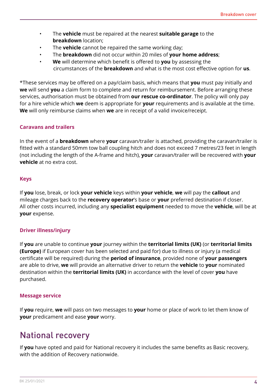- The **vehicle** must be repaired at the nearest **suitable garage** to the **breakdown** location;
- The **vehicle** cannot be repaired the same working day;
- The **breakdown** did not occur within 20 miles of **your home address**;
- **We** will determine which benefit is offered to **you** by assessing the circumstances of the **breakdown** and what is the most cost effective option for **us**.

\*These services may be offered on a pay/claim basis, which means that **you** must pay initially and **we** will send **you** a claim form to complete and return for reimbursement. Before arranging these services, authorisation must be obtained from **our rescue co-ordinator**. The policy will only pay for a hire vehicle which **we** deem is appropriate for **your** requirements and is available at the time. **We** will only reimburse claims when **we** are in receipt of a valid invoice/receipt.

#### **Caravans and trailers**

In the event of a **breakdown** where **your** caravan/trailer is attached, providing the caravan/trailer is fitted with a standard 50mm tow ball coupling hitch and does not exceed 7 metres/23 feet in length (not including the length of the A-frame and hitch), **your** caravan/trailer will be recovered with **your vehicle** at no extra cost.

#### **Keys**

If **you** lose, break, or lock **your vehicle** keys within **your vehicle**, **we** will pay the **callout** and mileage charges back to the **recovery operator**'s base or **your** preferred destination if closer. All other costs incurred, including any **specialist equipment** needed to move the **vehicle**, will be at **your** expense.

#### **Driver illness/injury**

If **you** are unable to continue **your** journey within the **territorial limits (UK)** (or **territorial limits (Europe)** if European cover has been selected and paid for) due to illness or injury (a medical certificate will be required) during the **period of insurance**, provided none of **your passengers** are able to drive, **we** will provide an alternative driver to return the **vehicle** to **your** nominated destination within the **territorial limits (UK)** in accordance with the level of cover **you** have purchased.

#### **Message service**

If **you** require, **we** will pass on two messages to **your** home or place of work to let them know of **your** predicament and ease **your** worry.

### National recovery

If **you** have opted and paid for National recovery it includes the same benefits as Basic recovery, with the addition of Recovery nationwide.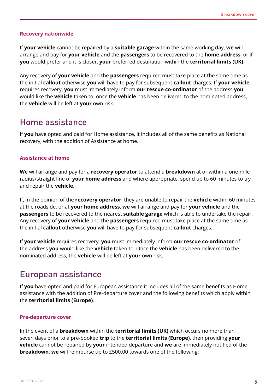#### **Recovery nationwide**

If **your vehicle** cannot be repaired by a **suitable garage** within the same working day, **we** will arrange and pay for **your vehicle** and the **passengers** to be recovered to the **home address**, or if **you** would prefer and it is closer, **your** preferred destination within the **territorial limits (UK)**.

Any recovery of **your vehicle** and the **passengers** required must take place at the same time as the initial **callout** otherwise **you** will have to pay for subsequent **callout** charges. If **your vehicle** requires recovery, **you** must immediately inform **our rescue co-ordinator** of the address **you** would like the **vehicle** taken to. once the **vehicle** has been delivered to the nominated address, the **vehicle** will be left at **your** own risk.

### Home assistance

If **you** have opted and paid for Home assistance, it includes all of the same benefits as National recovery, with the addition of Assistance at home.

#### **Assistance at home**

**We** will arrange and pay for a **recovery operator** to attend a **breakdown** at or within a one-mile radius/straight line of **your home address** and where appropriate, spend up to 60 minutes to try and repair the **vehicle**.

If, in the opinion of the **recovery operator**, they are unable to repair the **vehicle** within 60 minutes at the roadside, or at **your home address**, **we** will arrange and pay for **your vehicle** and the **passengers** to be recovered to the nearest **suitable garage** which is able to undertake the repair. Any recovery of **your vehicle** and the **passengers** required must take place at the same time as the initial **callout** otherwise **you** will have to pay for subsequent **callout** charges.

If **your vehicle** requires recovery, **you** must immediately inform **our rescue co-ordinator** of the address **you** would like the **vehicle** taken to. Once the **vehicle** has been delivered to the nominated address, the **vehicle** will be left at **your** own risk.

### European assistance

If **you** have opted and paid for European assistance it includes all of the same benefits as Home assistance with the addition of Pre-departure cover and the following benefits which apply within the **territorial limits (Europe)**.

#### **Pre-departure cover**

In the event of a **breakdown** within the **territorial limits (UK)** which occurs no more than seven days prior to a pre-booked **trip** to the **territorial limits (Europe)**, then providing **your vehicle** cannot be repaired by **your** intended departure and **we** are immediately notified of the **breakdown**, **we** will reimburse up to £500.00 towards one of the following: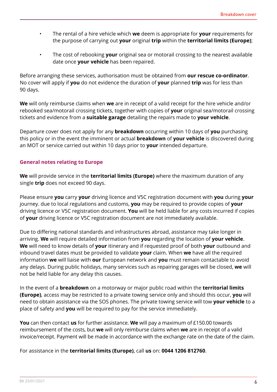- The rental of a hire vehicle which **we** deem is appropriate for **your** requirements for the purpose of carrying out **your** original **trip** within the **territorial limits (Europe)**;
- The cost of rebooking **your** original sea or motorail crossing to the nearest available date once **your vehicle** has been repaired.

Before arranging these services, authorisation must be obtained from **our rescue co-ordinator**. No cover will apply if **you** do not evidence the duration of **your** planned **trip** was for less than 90 days.

**We** will only reimburse claims when **we** are in receipt of a valid receipt for the hire vehicle and/or rebooked sea/motorail crossing tickets, together with copies of **your** original sea/motorail crossing tickets and evidence from a **suitable garage** detailing the repairs made to **your vehicle**.

Departure cover does not apply for any **breakdown** occurring within 10 days of **you** purchasing this policy or in the event the imminent or actual **breakdown** of **your vehicle** is discovered during an MOT or service carried out within 10 days prior to **your** intended departure.

#### **General notes relating to Europe**

**We** will provide service in the **territorial limits (Europe)** where the maximum duration of any single **trip** does not exceed 90 days.

Please ensure **you** carry **your** driving licence and V5C registration document with **you** during **your** journey. due to local regulations and customs, **you** may be required to provide copies of **your** driving licence or V5C registration document. **You** will be held liable for any costs incurred if copies of **your** driving licence or V5C registration document are not immediately available.

Due to differing national standards and infrastructures abroad, assistance may take longer in arriving. **We** will require detailed information from **you** regarding the location of **your vehicle**. **We** will need to know details of **your** itinerary and if requested proof of both **your** outbound and inbound travel dates must be provided to validate **your** claim. When **we** have all the required information **we** will liaise with **our** European network and **you** must remain contactable to avoid any delays. During public holidays, many services such as repairing garages will be closed, **we** will not be held liable for any delay this causes.

In the event of a **breakdown** on a motorway or major public road within the **territorial limits (Europe)**, access may be restricted to a private towing service only and should this occur, **you** will need to obtain assistance via the SOS phones. The private towing service will tow **your vehicle** to a place of safety and **you** will be required to pay for the service immediately.

**You** can then contact **us** for further assistance. **We** will pay a maximum of £150.00 towards reimbursement of the costs, but **we** will only reimburse claims when **we** are in receipt of a valid invoice/receipt. Payment will be made in accordance with the exchange rate on the date of the claim.

For assistance in the **territorial limits (Europe)**, call **us** on: **0044 1206 812760**.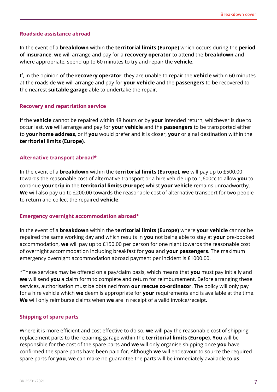#### **Roadside assistance abroad**

In the event of a **breakdown** within the **territorial limits (Europe)** which occurs during the **period of insurance**, **we** will arrange and pay for a **recovery operator** to attend the **breakdown** and where appropriate, spend up to 60 minutes to try and repair the **vehicle**.

If, in the opinion of the **recovery operator**, they are unable to repair the **vehicle** within 60 minutes at the roadside **we** will arrange and pay for **your vehicle** and the **passengers** to be recovered to the nearest **suitable garage** able to undertake the repair.

#### **Recovery and repatriation service**

If the **vehicle** cannot be repaired within 48 hours or by **your** intended return, whichever is due to occur last, **we** will arrange and pay for **your vehicle** and the **passengers** to be transported either to **your home address**, or if **you** would prefer and it is closer, **your** original destination within the **territorial limits (Europe)**.

#### **Alternative transport abroad\***

In the event of a **breakdown** within the **territorial limits (Europe)**, **we** will pay up to £500.00 towards the reasonable cost of alternative transport or a hire vehicle up to 1,600cc to allow **you** to continue **your trip** in the **territorial limits (Europe)** whilst **your vehicle** remains unroadworthy. **We** will also pay up to £200.00 towards the reasonable cost of alternative transport for two people to return and collect the repaired **vehicle**.

#### **Emergency overnight accommodation abroad\***

In the event of a **breakdown** within the **territorial limits (Europe)** where **your vehicle** cannot be repaired the same working day and which results in **you** not being able to stay at **your** pre-booked accommodation, **we** will pay up to £150.00 per person for one night towards the reasonable cost of overnight accommodation including breakfast for **you** and **your passengers**. The maximum emergency overnight accommodation abroad payment per incident is £1000.00.

\*These services may be offered on a pay/claim basis, which means that **you** must pay initially and **we** will send **you** a claim form to complete and return for reimbursement. Before arranging these services, authorisation must be obtained from **our rescue co-ordinator**. The policy will only pay for a hire vehicle which **we** deem is appropriate for **your** requirements and is available at the time. **We** will only reimburse claims when **we** are in receipt of a valid invoice/receipt.

#### **Shipping of spare parts**

Where it is more efficient and cost effective to do so, **we** will pay the reasonable cost of shipping replacement parts to the repairing garage within the **territorial limits (Europe)**. **You** will be responsible for the cost of the spare parts and **we** will only organise shipping once **you** have confirmed the spare parts have been paid for. Although **we** will endeavour to source the required spare parts for **you**, **we** can make no guarantee the parts will be immediately available to **us**.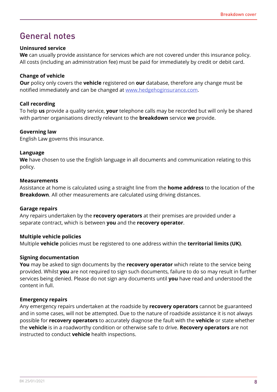### General notes

#### **Uninsured service**

**We** can usually provide assistance for services which are not covered under this insurance policy. All costs (including an administration fee) must be paid for immediately by credit or debit card.

#### **Change of vehicle**

**Our** policy only covers the **vehicle** registered on **our** database, therefore any change must be notified immediately and can be changed at <www.hedgehoginsurance.com>.

#### **Call recording**

To help **us** provide a quality service, **your** telephone calls may be recorded but will only be shared with partner organisations directly relevant to the **breakdown** service **we** provide.

#### **Governing law**

English Law governs this insurance.

#### **Language**

**We** have chosen to use the English language in all documents and communication relating to this policy.

#### **Measurements**

Assistance at home is calculated using a straight line from the **home address** to the location of the **Breakdown**. All other measurements are calculated using driving distances.

#### **Garage repairs**

Any repairs undertaken by the **recovery operators** at their premises are provided under a separate contract, which is between **you** and the **recovery operator**.

#### **Multiple vehicle policies**

Multiple **vehicle** policies must be registered to one address within the **territorial limits (UK)**.

#### **Signing documentation**

**You** may be asked to sign documents by the **recovery operator** which relate to the service being provided. Whilst **you** are not required to sign such documents, failure to do so may result in further services being denied. Please do not sign any documents until **you** have read and understood the content in full.

#### **Emergency repairs**

Any emergency repairs undertaken at the roadside by **recovery operators** cannot be guaranteed and in some cases, will not be attempted. Due to the nature of roadside assistance it is not always possible for **recovery operators** to accurately diagnose the fault with the **vehicle** or state whether the **vehicle** is in a roadworthy condition or otherwise safe to drive. **Recovery operators** are not instructed to conduct **vehicle** health inspections.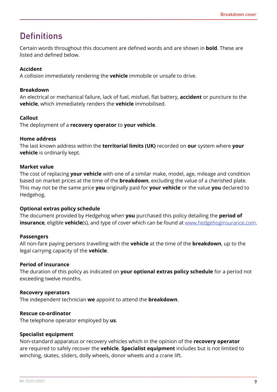### **Definitions**

Certain words throughout this document are defined words and are shown in **bold**. These are listed and defined below.

#### **Accident**

A collision immediately rendering the **vehicle** immobile or unsafe to drive.

#### **Breakdown**

An electrical or mechanical failure, lack of fuel, misfuel, flat battery, **accident** or puncture to the **vehicle**, which immediately renders the **vehicle** immobilised.

#### **Callout**

The deployment of a **recovery operator** to **your vehicle**.

#### **Home address**

The last known address within the **territorial limits (UK)** recorded on **our** system where **your vehicle** is ordinarily kept.

#### **Market value**

The cost of replacing **your vehicle** with one of a similar make, model, age, mileage and condition based on market prices at the time of the **breakdown**, excluding the value of a cherished plate. This may not be the same price **you** originally paid for **your vehicle** or the value **you** declared to Hedgehog.

#### **Optional extras policy schedule**

The document provided by Hedgehog when **you** purchased this policy detailing the **period of insurance**, eligible **vehicle**(s), and type of cover which can be found at [www.hedgehoginsurance.com.](www.hedgehoginsurance.com)

#### **Passengers**

All non-fare paying persons travelling with the **vehicle** at the time of the **breakdown**, up to the legal carrying capacity of the **vehicle**.

#### **Period of insurance**

The duration of this policy as indicated on **your optional extras policy schedule** for a period not exceeding twelve months.

#### **Recovery operators**

The independent technician **we** appoint to attend the **breakdown**.

#### **Rescue co-ordinator**

The telephone operator employed by **us**.

#### **Specialist equipment**

Non-standard apparatus or recovery vehicles which in the opinion of the **recovery operator** are required to safely recover the **vehicle**. **Specialist equipment** includes but is not limited to winching, skates, sliders, dolly wheels, donor wheels and a crane lift.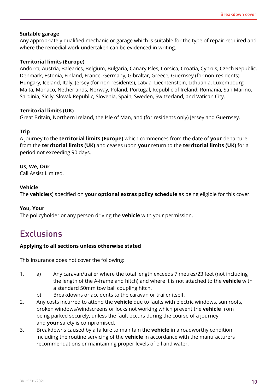#### **Suitable garage**

Any appropriately qualified mechanic or garage which is suitable for the type of repair required and where the remedial work undertaken can be evidenced in writing.

#### **Territorial limits (Europe)**

Andorra, Austria, Balearics, Belgium, Bulgaria, Canary Isles, Corsica, Croatia, Cyprus, Czech Republic, Denmark, Estonia, Finland, France, Germany, Gibraltar, Greece, Guernsey (for non-residents) Hungary, Iceland, Italy, Jersey (for non-residents), Latvia, Liechtenstein, Lithuania, Luxembourg, Malta, Monaco, Netherlands, Norway, Poland, Portugal, Republic of Ireland, Romania, San Marino, Sardinia, Sicily, Slovak Republic, Slovenia, Spain, Sweden, Switzerland, and Vatican City.

#### **Territorial limits (UK)**

Great Britain, Northern Ireland, the Isle of Man, and (for residents only) Jersey and Guernsey.

#### **Trip**

A journey to the **territorial limits (Europe)** which commences from the date of **your** departure from the **territorial limits (UK)** and ceases upon **your** return to the **territorial limits (UK)** for a period not exceeding 90 days.

#### **Us, We, Our**

Call Assist Limited.

#### **Vehicle**

The **vehicle**(s) specified on **your optional extras policy schedule** as being eligible for this cover.

#### **You, Your**

The policyholder or any person driving the **vehicle** with your permission.

### **Exclusions**

#### **Applying to all sections unless otherwise stated**

This insurance does not cover the following:

- 1. a) Any caravan/trailer where the total length exceeds 7 metres/23 feet (not including the length of the A-frame and hitch) and where it is not attached to the **vehicle** with a standard 50mm tow ball coupling hitch.
	- b) Breakdowns or accidents to the caravan or trailer itself.
- 2. Any costs incurred to attend the **vehicle** due to faults with electric windows, sun roofs, broken windows/windscreens or locks not working which prevent the **vehicle** from being parked securely, unless the fault occurs during the course of a journey and **your** safety is compromised.
- 3. Breakdowns caused by a failure to maintain the **vehicle** in a roadworthy condition including the routine servicing of the **vehicle** in accordance with the manufacturers recommendations or maintaining proper levels of oil and water.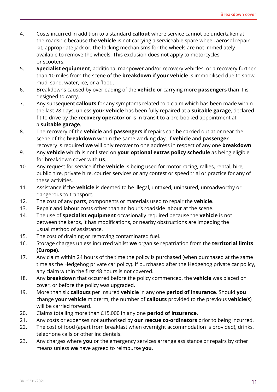- 4. Costs incurred in addition to a standard **callout** where service cannot be undertaken at the roadside because the **vehicle** is not carrying a serviceable spare wheel, aerosol repair kit, appropriate jack or, the locking mechanisms for the wheels are not immediately available to remove the wheels. This exclusion does not apply to motorcycles or scooters.
- 5. **Specialist equipment**, additional manpower and/or recovery vehicles, or a recovery further than 10 miles from the scene of the **breakdown** if **your vehicle** is immobilised due to snow, mud, sand, water, ice, or a flood.
- 6. Breakdowns caused by overloading of the **vehicle** or carrying more **passengers** than it is designed to carry.
- 7. Any subsequent **callouts** for any symptoms related to a claim which has been made within the last 28 days, unless **your vehicle** has been fully repaired at a **suitable garage**, declared fit to drive by the **recovery operator** or is in transit to a pre-booked appointment at a **suitable garage**.
- 8. The recovery of the **vehicle** and **passengers** if repairs can be carried out at or near the scene of the **breakdown** within the same working day. If **vehicle** and **passenger** recovery is required **we** will only recover to one address in respect of any one **breakdown**.
- 9. Any **vehicle** which is not listed on **your optional extras policy schedule** as being eligible for breakdown cover with **us**.
- 10. Any request for service if the **vehicle** is being used for motor racing, rallies, rental, hire, public hire, private hire, courier services or any contest or speed trial or practice for any of these activities.
- 11. Assistance if the **vehicle** is deemed to be illegal, untaxed, uninsured, unroadworthy or dangerous to transport.
- 12. The cost of any parts, components or materials used to repair the **vehicle**.
- 13. Repair and labour costs other than an hour's roadside labour at the scene.
- 14. The use of **specialist equipment** occasionally required because the **vehicle** is not between the kerbs, it has modifications, or nearby obstructions are impeding the usual method of assistance.
- 15. The cost of draining or removing contaminated fuel.
- 16. Storage charges unless incurred whilst **we** organise repatriation from the **territorial limits (Europe)**.
- 17. Any claim within 24 hours of the time the policy is purchased (when purchased at the same time as the Hedgehog private car policy). If purchased after the Hedgehog private car policy, any claim within the first 48 hours is not covered.
- 18. Any **breakdown** that occurred before the policy commenced, the **vehicle** was placed on cover, or before the policy was upgraded.
- 19. More than six **callouts** per insured **vehicle** in any one **period of insurance**. Should **you** change **your vehicle** midterm, the number of **callouts** provided to the previous **vehicle**(s) will be carried forward.
- 20. Claims totalling more than £15,000 in any one **period of insurance**.
- 21. Any costs or expenses not authorised by **our rescue co-ordinators** prior to being incurred.
- 22. The cost of food (apart from breakfast when overnight accommodation is provided), drinks, telephone calls or other incidentals.
- 23. Any charges where **you** or the emergency services arrange assistance or repairs by other means unless **we** have agreed to reimburse **you**.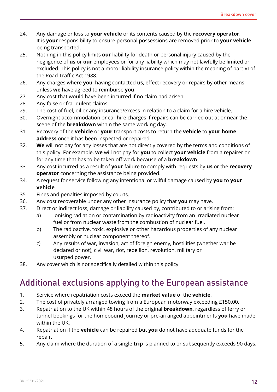- 24. Any damage or loss to **your vehicle** or its contents caused by the **recovery operator**. It is **your** responsibility to ensure personal possessions are removed prior to **your vehicle** being transported.
- 25. Nothing in this policy limits **our** liability for death or personal injury caused by the negligence of **us** or **our** employees or for any liability which may not lawfully be limited or excluded. This policy is not a motor liability insurance policy within the meaning of part VI of the Road Traffic Act 1988.
- 26. Any charges where **you**, having contacted **us**, effect recovery or repairs by other means unless **we** have agreed to reimburse **you**.
- 27. Any cost that would have been incurred if no claim had arisen.
- 28. Any false or fraudulent claims.
- 29. The cost of fuel, oil or any insurance/excess in relation to a claim for a hire vehicle.
- 30. Overnight accommodation or car hire charges if repairs can be carried out at or near the scene of the **breakdown** within the same working day.
- 31. Recovery of the **vehicle** or **your** transport costs to return the **vehicle** to **your home address** once it has been inspected or repaired.
- 32. **We** will not pay for any losses that are not directly covered by the terms and conditions of this policy. For example, **we** will not pay for **you** to collect **your vehicle** from a repairer or for any time that has to be taken off work because of a **breakdown**.
- 33. Any cost incurred as a result of **your** failure to comply with requests by **us** or the **recovery operator** concerning the assistance being provided.
- 34. A request for service following any intentional or wilful damage caused by **you** to **your vehicle**.
- 35. Fines and penalties imposed by courts.
- 36. Any cost recoverable under any other insurance policy that **you** may have.
- 37. Direct or indirect loss, damage or liability caused by, contributed to or arising from:
	- a) Ionising radiation or contamination by radioactivity from an irradiated nuclear fuel or from nuclear waste from the combustion of nuclear fuel.
	- b) The radioactive, toxic, explosive or other hazardous properties of any nuclear assembly or nuclear component thereof.
	- c) Any results of war, invasion, act of foreign enemy, hostilities (whether war be declared or not), civil war, riot, rebellion, revolution, military or usurped power.
- 38. Any cover which is not specifically detailed within this policy.

### Additional exclusions applying to the European assistance

- 1. Service where repatriation costs exceed the **market value** of the **vehicle**.
- 2. The cost of privately arranged towing from a European motorway exceeding £150.00.
- 3. Repatriation to the UK within 48 hours of the original **breakdown**, regardless of ferry or tunnel bookings for the homebound journey or pre-arranged appointments **you** have made within the UK.
- 4. Repatriation if the **vehicle** can be repaired but **you** do not have adequate funds for the repair.
- 5. Any claim where the duration of a single **trip** is planned to or subsequently exceeds 90 days.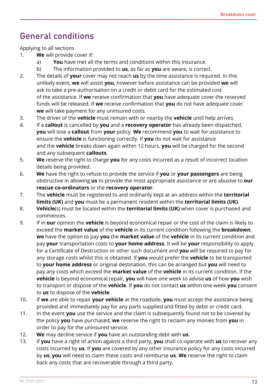### General conditions

Applying to all sections

- 1. **We** will provide cover if:
	- a) **You** have met all the terms and conditions within this insurance.
	- b) The information provided to **us**, as far as **you** are aware, is correct.
- 2. The details of **your** cover may not reach **us** by the time assistance is required. In this unlikely event, **we** will assist **you**, however before assistance can be provided **we** will ask to take a pre-authorisation on a credit or debit card for the estimated cost of the assistance. If **we** receive confirmation that **you** have adequate cover the reserved funds will be released. If **we** receive confirmation that **you** do not have adequate cover **we** will take payment for any uninsured costs.
- 3. The driver of the **vehicle** must remain with or nearby the **vehicle** until help arrives.
- 4. If a **callout** is cancelled by **you** and a **recovery operator** has already been dispatched, **you** will lose a **callout** from **your** policy. **We** recommend **you** to wait for assistance to ensure the **vehicle** is functioning correctly. If **you** do not wait for assistance and the **vehicle** breaks down again within 12 hours, **you** will be charged for the second and any subsequent **callouts**.
- 5. **We** reserve the right to charge **you** for any costs incurred as a result of incorrect location details being provided.
- 6. **We** have the right to refuse to provide the service if **you** or **your passengers** are being obstructive in allowing **us** to provide the most appropriate assistance or are abusive to **our rescue co-ordinators** or the **recovery operator**.
- 7. The **vehicle** must be registered to and ordinarily kept at an address within the **territorial limits (UK)** and **you** must be a permanent resident within the **territorial limits (UK)**.
- 8. **Vehicle**(s) must be located within the **territorial limits (UK)** when cover is purchased and commences.
- 9. If in **our** opinion the **vehicle** is beyond economical repair or the cost of the claim is likely to exceed the **market value** of the **vehicle** in its current condition following the **breakdown**, **we** have the option to pay **you** the **market value** of the **vehicle** in its current condition and pay **your** transportation costs to **your home address**. It will be **your** responsibility to apply for a Certificate of Destruction or other such document and **you** will be required to pay for any storage costs whilst this is obtained. If **you** would prefer the **vehicle** to be transported to **your home address** or original destination, this can be arranged but **you** will need to pay any costs which exceed the **market value** of the **vehicle** in its current condition. If the **vehicle** is beyond economical repair, **you** will have one week to advise **us** of how **you** wish to transport or dispose of the **vehicle**. If **you** do not contact **us** within one week **you** consent to **us** to dispose of the **vehicle**.
- 10. If **we** are able to repair **your vehicle** at the roadside, **you** must accept the assistance being provided and immediately pay for any parts supplied and fitted by debit or credit card.
- 11. In the event **you** use the service and the claim is subsequently found not to be covered by the policy **you** have purchased, **we** reserve the right to reclaim any monies from **you** in order to pay for the uninsured service.
- 12. **We** may decline service if **you** have an outstanding debt with **us**.
- 13. If **you** have a right of action against a third party, **you** shall co-operate with **us** to recover any costs incurred by **us**. If **you** are covered by any other insurance policy for any costs incurred by **us**, **you** will need to claim these costs and reimburse **us**. **We** reserve the right to claim back any costs that are recoverable through a third party.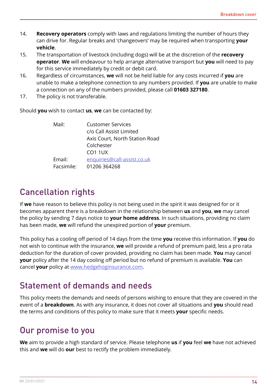- 14. **Recovery operators** comply with laws and regulations limiting the number of hours they can drive for. Regular breaks and 'changeovers' may be required when transporting **your vehicle**.
- 15. The transportation of livestock (including dogs) will be at the discretion of the **recovery operator**. **We** will endeavour to help arrange alternative transport but **you** will need to pay for this service immediately by credit or debit card.
- 16. Regardless of circumstances, **we** will not be held liable for any costs incurred if **you** are unable to make a telephone connection to any numbers provided. If **you** are unable to make a connection on any of the numbers provided, please call **01603 327180**.
- 17. The policy is not transferable.

Should **you** wish to contact **us**, **we** can be contacted by:

| Mail:      | <b>Customer Services</b>       |
|------------|--------------------------------|
|            | c/o Call Assist Limited        |
|            | Axis Court, North Station Road |
|            | Colchester                     |
|            | CO <sub>1</sub> 1UX            |
| Email:     | enquiries@call-assist.co.uk    |
| Facsimile: | 01206 364268                   |

### Cancellation rights

If **we** have reason to believe this policy is not being used in the spirit it was designed for or it becomes apparent there is a breakdown in the relationship between **us** and **you**, **we** may cancel the policy by sending 7 days notice to **your home address**. In such situations, providing no claim has been made, **we** will refund the unexpired portion of **your** premium.

This policy has a cooling off period of 14 days from the time **you** receive this information. If **you** do not wish to continue with the insurance, **we** will provide a refund of premium paid, less a pro rata deduction for the duration of cover provided, providing no claim has been made. **You** may cancel **your** policy after the 14 day cooling off period but no refund of premium is available. **You** can cancel **your** policy at<www.hedgehoginsurance.com>.

### Statement of demands and needs

This policy meets the demands and needs of persons wishing to ensure that they are covered in the event of a **breakdown**. As with any insurance, it does not cover all situations and **you** should read the terms and conditions of this policy to make sure that it meets **your** specific needs.

### Our promise to you

**We** aim to provide a high standard of service. Please telephone **us** if **you** feel **we** have not achieved this and **we** will do **our** best to rectify the problem immediately.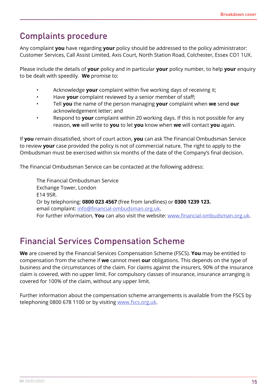### Complaints procedure

Any complaint **you** have regarding **your** policy should be addressed to the policy administrator: Customer Services, Call Assist Limited, Axis Court, North Station Road, Colchester, Essex CO1 1UX.

Please include the details of **your** policy and in particular **your** policy number, to help **your** enquiry to be dealt with speedily. **We** promise to:

- Acknowledge **your** complaint within five working days of receiving it;
- Have **your** complaint reviewed by a senior member of staff;
- Tell **you** the name of the person managing **your** complaint when **we** send **our** acknowledgement letter; and
- Respond to **your** complaint within 20 working days. If this is not possible for any reason, **we** will write to **you** to let **you** know when **we** will contact **you** again.

If **you** remain dissatisfied, short of court action, **you** can ask The Financial Ombudsman Service to review **your** case provided the policy is not of commercial nature. The right to apply to the Ombudsman must be exercised within six months of the date of the Company's final decision.

The Financial Ombudsman Service can be contacted at the following address:

The Financial Ombudsman Service Exchange Tower, London E14 9SR. Or by telephoning: **0800 023 4567** (free from landlines) or **0300 1239 123.** email complaint: [info@financial-ombudsman.org.uk](Mailto: info@financial-ombudsman.org.uk). For further information, **You** can also visit the website: <www.financial-ombudsman.org.uk>.

### Financial Services Compensation Scheme

**We** are covered by the Financial Services Compensation Scheme (FSCS). **You** may be entitled to compensation from the scheme if **we** cannot meet **our** obligations. This depends on the type of business and the circumstances of the claim. For claims against the insurers, 90% of the insurance claim is covered, with no upper limit. For compulsory classes of insurance, insurance arranging is covered for 100% of the claim, without any upper limit.

Further information about the compensation scheme arrangements is available from the FSCS by telephoning 0800 678 1100 or by visiting [www.fscs.org.uk.](www.fscs.org.uk)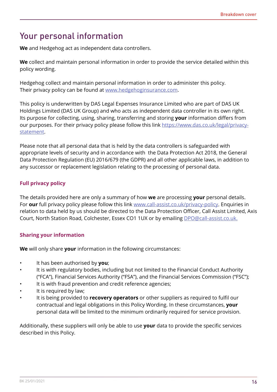### Your personal information

**We** and Hedgehog act as independent data controllers.

**We** collect and maintain personal information in order to provide the service detailed within this policy wording.

Hedgehog collect and maintain personal information in order to administer this policy. Their privacy policy can be found at [www.hedgehoginsurance.com.](www.hedgehoginsurance.com)

This policy is underwritten by DAS Legal Expenses Insurance Limited who are part of DAS UK Holdings Limited (DAS UK Group) and who acts as independent data controller in its own right. Its purpose for collecting, using, sharing, transferring and storing **your** information differs from our purposes. For their privacy policy please follow this link [https://www.das.co.uk/legal/privacy](https://www.das.co.uk/legal/privacy-statement)[statement.](https://www.das.co.uk/legal/privacy-statement)

Please note that all personal data that is held by the data controllers is safeguarded with appropriate levels of security and in accordance with the Data Protection Act 2018, the General Data Protection Regulation (EU) 2016/679 (the GDPR) and all other applicable laws, in addition to any successor or replacement legislation relating to the processing of personal data.

#### **Full privacy policy**

The details provided here are only a summary of how **we** are processing **your** personal details. For **our** full privacy policy please follow this link [www.call-assist.co.uk/privacy-policy.](www.call-assist.co.uk/privacy-policy) Enquiries in relation to data held by us should be directed to the Data Protection Officer, Call Assist Limited, Axis Court, North Station Road, Colchester, Essex CO1 1UX or by emailing [DPO@call-assist.co.uk.](Mailto: DPO@call-assist.co.uk.
)

#### **Sharing your information**

**We** will only share **your** information in the following circumstances:

- It has been authorised by **you**;
- It is with regulatory bodies, including but not limited to the Financial Conduct Authority ("FCA"), Financial Services Authority ("FSA"), and the Financial Services Commission ("FSC");
- It is with fraud prevention and credit reference agencies;
- It is required by law;
- It is being provided to **recovery operators** or other suppliers as required to fulfil our contractual and legal obligations in this Policy Wording. In these circumstances, **your** personal data will be limited to the minimum ordinarily required for service provision.

Additionally, these suppliers will only be able to use **your** data to provide the specific services described in this Policy.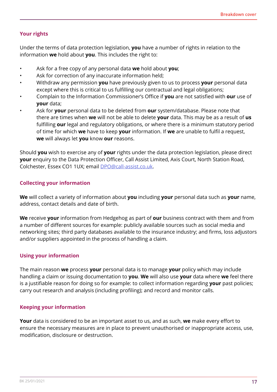#### **Your rights**

Under the terms of data protection legislation, **you** have a number of rights in relation to the information **we** hold about **you**. This includes the right to:

- Ask for a free copy of any personal data **we** hold about **you**;
- Ask for correction of any inaccurate information held;
- Withdraw any permission **you** have previously given to us to process **your** personal data except where this is critical to us fulfilling our contractual and legal obligations;
- Complain to the Information Commissioner's Office if **you** are not satisfied with **our** use of **your** data;
- Ask for **your** personal data to be deleted from **our** system/database. Please note that there are times when **we** will not be able to delete **your** data. This may be as a result of **us** fulfilling **our** legal and regulatory obligations, or where there is a minimum statutory period of time for which **we** have to keep **your** information. If **we** are unable to fulfil a request, **we** will always let **you** know **our** reasons.

Should **you** wish to exercise any of **your** rights under the data protection legislation, please direct **your** enquiry to the Data Protection Officer, Call Assist Limited, Axis Court, North Station Road, Colchester, Essex CO1 1UX; email [DPO@call-assist.co.uk](MAILTO: DPO@call-assist.co.uk).

#### **Collecting your information**

**We** will collect a variety of information about **you** including **your** personal data such as **your** name, address, contact details and date of birth.

**We** receive **your** information from Hedgehog as part of **our** business contract with them and from a number of different sources for example: publicly available sources such as social media and networking sites; third party databases available to the insurance industry; and firms, loss adjustors and/or suppliers appointed in the process of handling a claim.

#### **Using your information**

The main reason **we** process **your** personal data is to manage **your** policy which may include handling a claim or issuing documentation to **you**. **We** will also use **your** data where **we** feel there is a justifiable reason for doing so for example: to collect information regarding **your** past policies; carry out research and analysis (including profiling); and record and monitor calls.

#### **Keeping your information**

**Your** data is considered to be an important asset to us, and as such, **we** make every effort to ensure the necessary measures are in place to prevent unauthorised or inappropriate access, use, modification, disclosure or destruction.